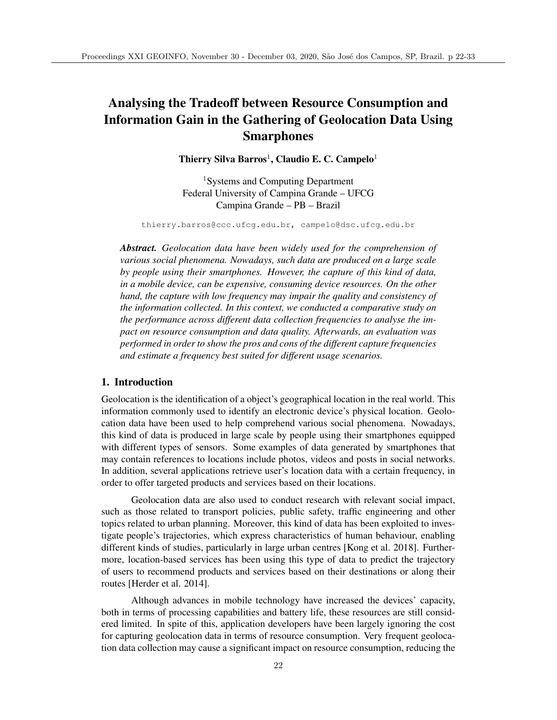# Analysing the Tradeoff between Resource Consumption and Information Gain in the Gathering of Geolocation Data Using **Smarphones**

Thierry Silva Barros<sup>1</sup>, Claudio E. C. Campelo<sup>1</sup>

<sup>1</sup>Systems and Computing Department Federal University of Campina Grande – UFCG Campina Grande – PB – Brazil

thierry.barros@ccc.ufcg.edu.br, campelo@dsc.ufcg.edu.br

*Abstract. Geolocation data have been widely used for the comprehension of various social phenomena. Nowadays, such data are produced on a large scale by people using their smartphones. However, the capture of this kind of data, in a mobile device, can be expensive, consuming device resources. On the other hand, the capture with low frequency may impair the quality and consistency of the information collected. In this context, we conducted a comparative study on the performance across different data collection frequencies to analyse the impact on resource consumption and data quality. Afterwards, an evaluation was performed in order to show the pros and cons of the different capture frequencies and estimate a frequency best suited for different usage scenarios.*

## 1. Introduction

Geolocation is the identification of a object's geographical location in the real world. This information commonly used to identify an electronic device's physical location. Geolocation data have been used to help comprehend various social phenomena. Nowadays, this kind of data is produced in large scale by people using their smartphones equipped with different types of sensors. Some examples of data generated by smartphones that may contain references to locations include photos, videos and posts in social networks. In addition, several applications retrieve user's location data with a certain frequency, in order to offer targeted products and services based on their locations.

Geolocation data are also used to conduct research with relevant social impact, such as those related to transport policies, public safety, traffic engineering and other topics related to urban planning. Moreover, this kind of data has been exploited to investigate people's trajectories, which express characteristics of human behaviour, enabling different kinds of studies, particularly in large urban centres [Kong et al. 2018]. Furthermore, location-based services has been using this type of data to predict the trajectory of users to recommend products and services based on their destinations or along their routes [Herder et al. 2014].

Although advances in mobile technology have increased the devices' capacity, both in terms of processing capabilities and battery life, these resources are still considered limited. In spite of this, application developers have been largely ignoring the cost for capturing geolocation data in terms of resource consumption. Very frequent geolocation data collection may cause a significant impact on resource consumption, reducing the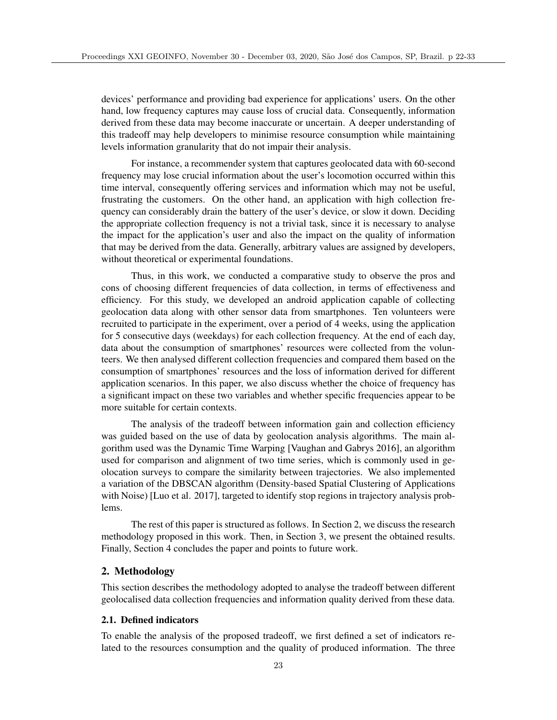devices' performance and providing bad experience for applications' users. On the other hand, low frequency captures may cause loss of crucial data. Consequently, information derived from these data may become inaccurate or uncertain. A deeper understanding of this tradeoff may help developers to minimise resource consumption while maintaining levels information granularity that do not impair their analysis.

For instance, a recommender system that captures geolocated data with 60-second frequency may lose crucial information about the user's locomotion occurred within this time interval, consequently offering services and information which may not be useful, frustrating the customers. On the other hand, an application with high collection frequency can considerably drain the battery of the user's device, or slow it down. Deciding the appropriate collection frequency is not a trivial task, since it is necessary to analyse the impact for the application's user and also the impact on the quality of information that may be derived from the data. Generally, arbitrary values are assigned by developers, without theoretical or experimental foundations.

Thus, in this work, we conducted a comparative study to observe the pros and cons of choosing different frequencies of data collection, in terms of effectiveness and efficiency. For this study, we developed an android application capable of collecting geolocation data along with other sensor data from smartphones. Ten volunteers were recruited to participate in the experiment, over a period of 4 weeks, using the application for 5 consecutive days (weekdays) for each collection frequency. At the end of each day, data about the consumption of smartphones' resources were collected from the volunteers. We then analysed different collection frequencies and compared them based on the consumption of smartphones' resources and the loss of information derived for different application scenarios. In this paper, we also discuss whether the choice of frequency has a significant impact on these two variables and whether specific frequencies appear to be more suitable for certain contexts.

The analysis of the tradeoff between information gain and collection efficiency was guided based on the use of data by geolocation analysis algorithms. The main algorithm used was the Dynamic Time Warping [Vaughan and Gabrys 2016], an algorithm used for comparison and alignment of two time series, which is commonly used in geolocation surveys to compare the similarity between trajectories. We also implemented a variation of the DBSCAN algorithm (Density-based Spatial Clustering of Applications with Noise) [Luo et al. 2017], targeted to identify stop regions in trajectory analysis problems.

The rest of this paper is structured as follows. In Section 2, we discuss the research methodology proposed in this work. Then, in Section 3, we present the obtained results. Finally, Section 4 concludes the paper and points to future work.

# 2. Methodology

This section describes the methodology adopted to analyse the tradeoff between different geolocalised data collection frequencies and information quality derived from these data.

## 2.1. Defined indicators

To enable the analysis of the proposed tradeoff, we first defined a set of indicators related to the resources consumption and the quality of produced information. The three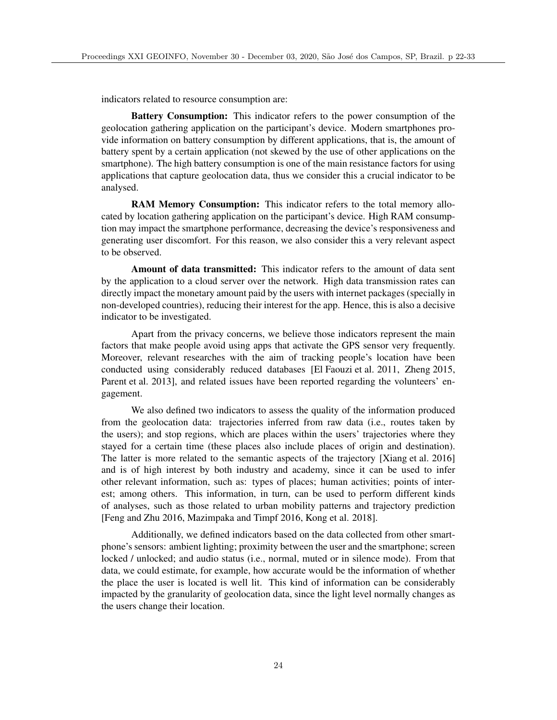indicators related to resource consumption are:

Battery Consumption: This indicator refers to the power consumption of the geolocation gathering application on the participant's device. Modern smartphones provide information on battery consumption by different applications, that is, the amount of battery spent by a certain application (not skewed by the use of other applications on the smartphone). The high battery consumption is one of the main resistance factors for using applications that capture geolocation data, thus we consider this a crucial indicator to be analysed.

RAM Memory Consumption: This indicator refers to the total memory allocated by location gathering application on the participant's device. High RAM consumption may impact the smartphone performance, decreasing the device's responsiveness and generating user discomfort. For this reason, we also consider this a very relevant aspect to be observed.

Amount of data transmitted: This indicator refers to the amount of data sent by the application to a cloud server over the network. High data transmission rates can directly impact the monetary amount paid by the users with internet packages (specially in non-developed countries), reducing their interest for the app. Hence, this is also a decisive indicator to be investigated.

Apart from the privacy concerns, we believe those indicators represent the main factors that make people avoid using apps that activate the GPS sensor very frequently. Moreover, relevant researches with the aim of tracking people's location have been conducted using considerably reduced databases [El Faouzi et al. 2011, Zheng 2015, Parent et al. 2013], and related issues have been reported regarding the volunteers' engagement.

We also defined two indicators to assess the quality of the information produced from the geolocation data: trajectories inferred from raw data (i.e., routes taken by the users); and stop regions, which are places within the users' trajectories where they stayed for a certain time (these places also include places of origin and destination). The latter is more related to the semantic aspects of the trajectory [Xiang et al. 2016] and is of high interest by both industry and academy, since it can be used to infer other relevant information, such as: types of places; human activities; points of interest; among others. This information, in turn, can be used to perform different kinds of analyses, such as those related to urban mobility patterns and trajectory prediction [Feng and Zhu 2016, Mazimpaka and Timpf 2016, Kong et al. 2018].

Additionally, we defined indicators based on the data collected from other smartphone's sensors: ambient lighting; proximity between the user and the smartphone; screen locked / unlocked; and audio status (i.e., normal, muted or in silence mode). From that data, we could estimate, for example, how accurate would be the information of whether the place the user is located is well lit. This kind of information can be considerably impacted by the granularity of geolocation data, since the light level normally changes as the users change their location.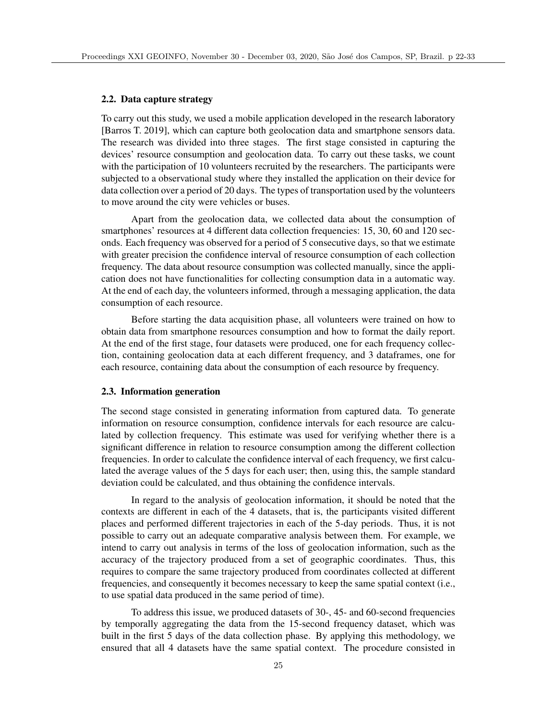## 2.2. Data capture strategy

To carry out this study, we used a mobile application developed in the research laboratory [Barros T. 2019], which can capture both geolocation data and smartphone sensors data. The research was divided into three stages. The first stage consisted in capturing the devices' resource consumption and geolocation data. To carry out these tasks, we count with the participation of 10 volunteers recruited by the researchers. The participants were subjected to a observational study where they installed the application on their device for data collection over a period of 20 days. The types of transportation used by the volunteers to move around the city were vehicles or buses.

Apart from the geolocation data, we collected data about the consumption of smartphones' resources at 4 different data collection frequencies: 15, 30, 60 and 120 seconds. Each frequency was observed for a period of 5 consecutive days, so that we estimate with greater precision the confidence interval of resource consumption of each collection frequency. The data about resource consumption was collected manually, since the application does not have functionalities for collecting consumption data in a automatic way. At the end of each day, the volunteers informed, through a messaging application, the data consumption of each resource.

Before starting the data acquisition phase, all volunteers were trained on how to obtain data from smartphone resources consumption and how to format the daily report. At the end of the first stage, four datasets were produced, one for each frequency collection, containing geolocation data at each different frequency, and 3 dataframes, one for each resource, containing data about the consumption of each resource by frequency.

## 2.3. Information generation

The second stage consisted in generating information from captured data. To generate information on resource consumption, confidence intervals for each resource are calculated by collection frequency. This estimate was used for verifying whether there is a significant difference in relation to resource consumption among the different collection frequencies. In order to calculate the confidence interval of each frequency, we first calculated the average values of the 5 days for each user; then, using this, the sample standard deviation could be calculated, and thus obtaining the confidence intervals.

In regard to the analysis of geolocation information, it should be noted that the contexts are different in each of the 4 datasets, that is, the participants visited different places and performed different trajectories in each of the 5-day periods. Thus, it is not possible to carry out an adequate comparative analysis between them. For example, we intend to carry out analysis in terms of the loss of geolocation information, such as the accuracy of the trajectory produced from a set of geographic coordinates. Thus, this requires to compare the same trajectory produced from coordinates collected at different frequencies, and consequently it becomes necessary to keep the same spatial context (i.e., to use spatial data produced in the same period of time).

To address this issue, we produced datasets of 30-, 45- and 60-second frequencies by temporally aggregating the data from the 15-second frequency dataset, which was built in the first 5 days of the data collection phase. By applying this methodology, we ensured that all 4 datasets have the same spatial context. The procedure consisted in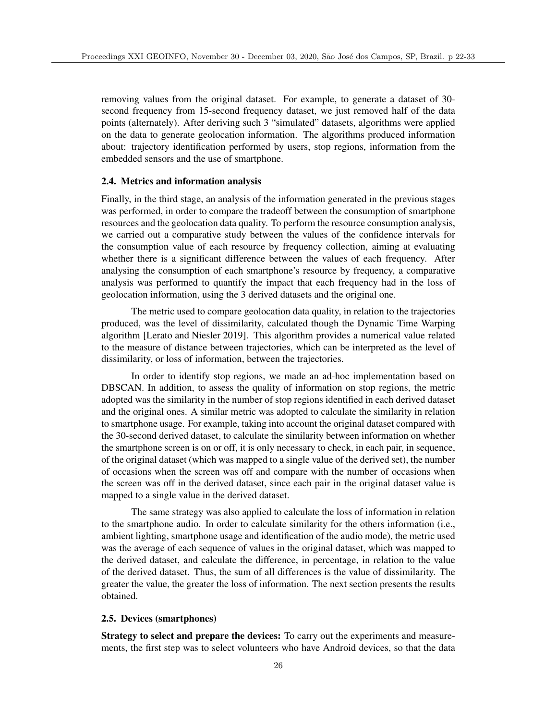removing values from the original dataset. For example, to generate a dataset of 30 second frequency from 15-second frequency dataset, we just removed half of the data points (alternately). After deriving such 3 "simulated" datasets, algorithms were applied on the data to generate geolocation information. The algorithms produced information about: trajectory identification performed by users, stop regions, information from the embedded sensors and the use of smartphone.

#### 2.4. Metrics and information analysis

Finally, in the third stage, an analysis of the information generated in the previous stages was performed, in order to compare the tradeoff between the consumption of smartphone resources and the geolocation data quality. To perform the resource consumption analysis, we carried out a comparative study between the values of the confidence intervals for the consumption value of each resource by frequency collection, aiming at evaluating whether there is a significant difference between the values of each frequency. After analysing the consumption of each smartphone's resource by frequency, a comparative analysis was performed to quantify the impact that each frequency had in the loss of geolocation information, using the 3 derived datasets and the original one.

The metric used to compare geolocation data quality, in relation to the trajectories produced, was the level of dissimilarity, calculated though the Dynamic Time Warping algorithm [Lerato and Niesler 2019]. This algorithm provides a numerical value related to the measure of distance between trajectories, which can be interpreted as the level of dissimilarity, or loss of information, between the trajectories.

In order to identify stop regions, we made an ad-hoc implementation based on DBSCAN. In addition, to assess the quality of information on stop regions, the metric adopted was the similarity in the number of stop regions identified in each derived dataset and the original ones. A similar metric was adopted to calculate the similarity in relation to smartphone usage. For example, taking into account the original dataset compared with the 30-second derived dataset, to calculate the similarity between information on whether the smartphone screen is on or off, it is only necessary to check, in each pair, in sequence, of the original dataset (which was mapped to a single value of the derived set), the number of occasions when the screen was off and compare with the number of occasions when the screen was off in the derived dataset, since each pair in the original dataset value is mapped to a single value in the derived dataset.

The same strategy was also applied to calculate the loss of information in relation to the smartphone audio. In order to calculate similarity for the others information (i.e., ambient lighting, smartphone usage and identification of the audio mode), the metric used was the average of each sequence of values in the original dataset, which was mapped to the derived dataset, and calculate the difference, in percentage, in relation to the value of the derived dataset. Thus, the sum of all differences is the value of dissimilarity. The greater the value, the greater the loss of information. The next section presents the results obtained.

#### 2.5. Devices (smartphones)

Strategy to select and prepare the devices: To carry out the experiments and measurements, the first step was to select volunteers who have Android devices, so that the data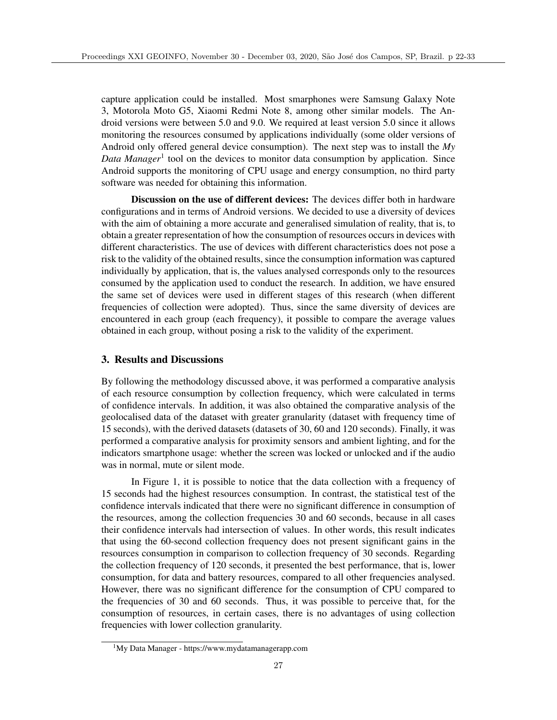capture application could be installed. Most smarphones were Samsung Galaxy Note 3, Motorola Moto G5, Xiaomi Redmi Note 8, among other similar models. The Android versions were between 5.0 and 9.0. We required at least version 5.0 since it allows monitoring the resources consumed by applications individually (some older versions of Android only offered general device consumption). The next step was to install the *My Data Manager*<sup>1</sup> tool on the devices to monitor data consumption by application. Since Android supports the monitoring of CPU usage and energy consumption, no third party software was needed for obtaining this information.

Discussion on the use of different devices: The devices differ both in hardware configurations and in terms of Android versions. We decided to use a diversity of devices with the aim of obtaining a more accurate and generalised simulation of reality, that is, to obtain a greater representation of how the consumption of resources occurs in devices with different characteristics. The use of devices with different characteristics does not pose a risk to the validity of the obtained results, since the consumption information was captured individually by application, that is, the values analysed corresponds only to the resources consumed by the application used to conduct the research. In addition, we have ensured the same set of devices were used in different stages of this research (when different frequencies of collection were adopted). Thus, since the same diversity of devices are encountered in each group (each frequency), it possible to compare the average values obtained in each group, without posing a risk to the validity of the experiment.

# 3. Results and Discussions

By following the methodology discussed above, it was performed a comparative analysis of each resource consumption by collection frequency, which were calculated in terms of confidence intervals. In addition, it was also obtained the comparative analysis of the geolocalised data of the dataset with greater granularity (dataset with frequency time of 15 seconds), with the derived datasets (datasets of 30, 60 and 120 seconds). Finally, it was performed a comparative analysis for proximity sensors and ambient lighting, and for the indicators smartphone usage: whether the screen was locked or unlocked and if the audio was in normal, mute or silent mode.

In Figure 1, it is possible to notice that the data collection with a frequency of 15 seconds had the highest resources consumption. In contrast, the statistical test of the confidence intervals indicated that there were no significant difference in consumption of the resources, among the collection frequencies 30 and 60 seconds, because in all cases their confidence intervals had intersection of values. In other words, this result indicates that using the 60-second collection frequency does not present significant gains in the resources consumption in comparison to collection frequency of 30 seconds. Regarding the collection frequency of 120 seconds, it presented the best performance, that is, lower consumption, for data and battery resources, compared to all other frequencies analysed. However, there was no significant difference for the consumption of CPU compared to the frequencies of 30 and 60 seconds. Thus, it was possible to perceive that, for the consumption of resources, in certain cases, there is no advantages of using collection frequencies with lower collection granularity.

<sup>1</sup>My Data Manager - https://www.mydatamanagerapp.com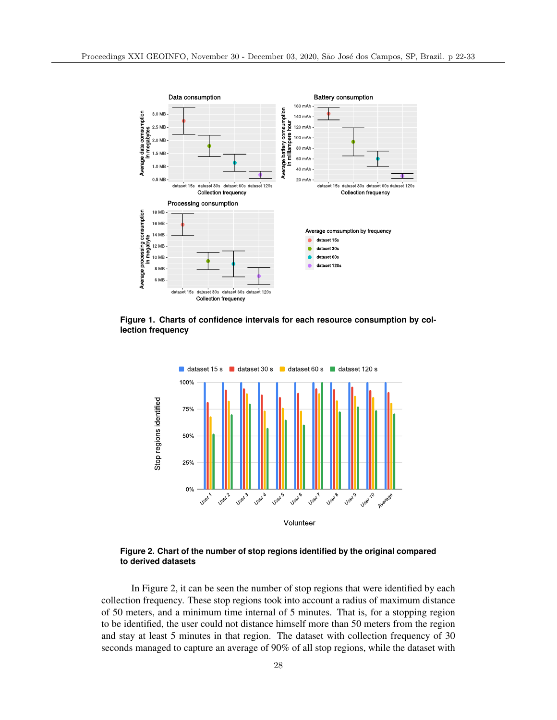

**Figure 1. Charts of confidence intervals for each resource consumption by collection frequency**



**Figure 2. Chart of the number of stop regions identified by the original compared to derived datasets**

In Figure 2, it can be seen the number of stop regions that were identified by each collection frequency. These stop regions took into account a radius of maximum distance of 50 meters, and a minimum time internal of 5 minutes. That is, for a stopping region to be identified, the user could not distance himself more than 50 meters from the region and stay at least 5 minutes in that region. The dataset with collection frequency of 30 seconds managed to capture an average of 90% of all stop regions, while the dataset with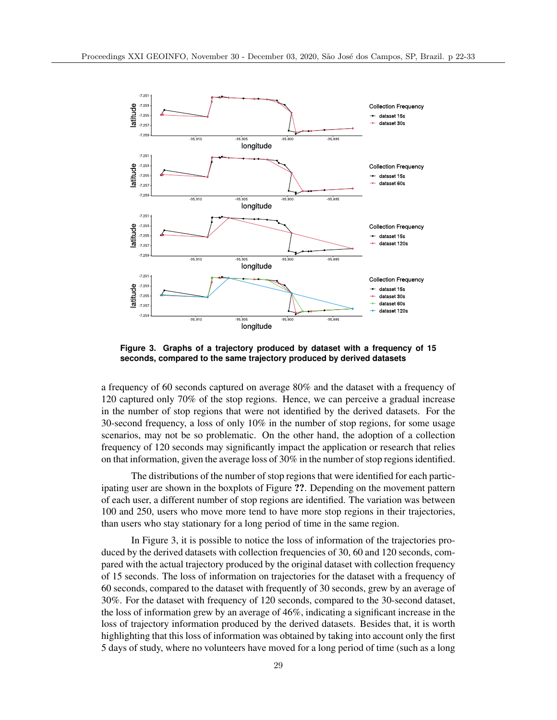

**Figure 3. Graphs of a trajectory produced by dataset with a frequency of 15 seconds, compared to the same trajectory produced by derived datasets**

a frequency of 60 seconds captured on average 80% and the dataset with a frequency of 120 captured only 70% of the stop regions. Hence, we can perceive a gradual increase in the number of stop regions that were not identified by the derived datasets. For the 30-second frequency, a loss of only 10% in the number of stop regions, for some usage scenarios, may not be so problematic. On the other hand, the adoption of a collection frequency of 120 seconds may significantly impact the application or research that relies on that information, given the average loss of 30% in the number of stop regions identified.

The distributions of the number of stop regions that were identified for each participating user are shown in the boxplots of Figure ??. Depending on the movement pattern of each user, a different number of stop regions are identified. The variation was between 100 and 250, users who move more tend to have more stop regions in their trajectories, than users who stay stationary for a long period of time in the same region.

In Figure 3, it is possible to notice the loss of information of the trajectories produced by the derived datasets with collection frequencies of 30, 60 and 120 seconds, compared with the actual trajectory produced by the original dataset with collection frequency of 15 seconds. The loss of information on trajectories for the dataset with a frequency of 60 seconds, compared to the dataset with frequently of 30 seconds, grew by an average of 30%. For the dataset with frequency of 120 seconds, compared to the 30-second dataset, the loss of information grew by an average of 46%, indicating a significant increase in the loss of trajectory information produced by the derived datasets. Besides that, it is worth highlighting that this loss of information was obtained by taking into account only the first 5 days of study, where no volunteers have moved for a long period of time (such as a long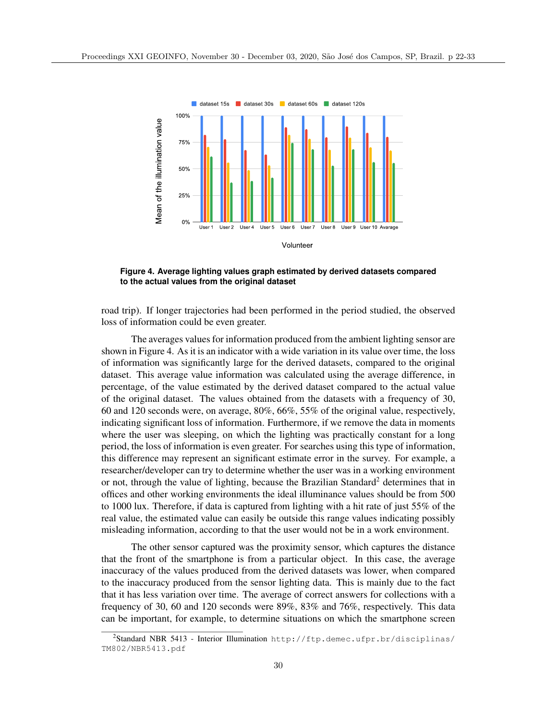

**Figure 4. Average lighting values graph estimated by derived datasets compared to the actual values from the original dataset**

road trip). If longer trajectories had been performed in the period studied, the observed loss of information could be even greater.

The averages values for information produced from the ambient lighting sensor are shown in Figure 4. As it is an indicator with a wide variation in its value over time, the loss of information was significantly large for the derived datasets, compared to the original dataset. This average value information was calculated using the average difference, in percentage, of the value estimated by the derived dataset compared to the actual value of the original dataset. The values obtained from the datasets with a frequency of 30, 60 and 120 seconds were, on average, 80%, 66%, 55% of the original value, respectively, indicating significant loss of information. Furthermore, if we remove the data in moments where the user was sleeping, on which the lighting was practically constant for a long period, the loss of information is even greater. For searches using this type of information, this difference may represent an significant estimate error in the survey. For example, a researcher/developer can try to determine whether the user was in a working environment or not, through the value of lighting, because the Brazilian Standard<sup>2</sup> determines that in offices and other working environments the ideal illuminance values should be from 500 to 1000 lux. Therefore, if data is captured from lighting with a hit rate of just 55% of the real value, the estimated value can easily be outside this range values indicating possibly misleading information, according to that the user would not be in a work environment.

The other sensor captured was the proximity sensor, which captures the distance that the front of the smartphone is from a particular object. In this case, the average inaccuracy of the values produced from the derived datasets was lower, when compared to the inaccuracy produced from the sensor lighting data. This is mainly due to the fact that it has less variation over time. The average of correct answers for collections with a frequency of 30, 60 and 120 seconds were 89%, 83% and 76%, respectively. This data can be important, for example, to determine situations on which the smartphone screen

 $^{2}$ Standard NBR 5413 - Interior Illumination http://ftp.demec.ufpr.br/disciplinas/ TM802/NBR5413.pdf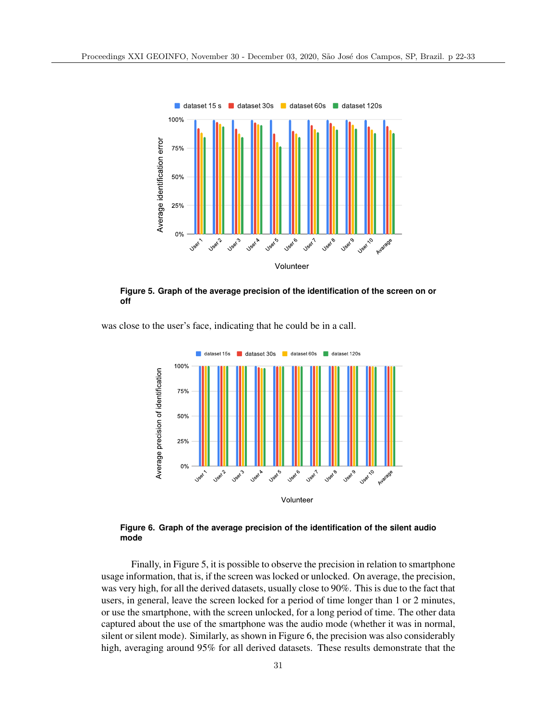

**Figure 5. Graph of the average precision of the identification of the screen on or off**

was close to the user's face, indicating that he could be in a call.



**Figure 6. Graph of the average precision of the identification of the silent audio mode**

Finally, in Figure 5, it is possible to observe the precision in relation to smartphone usage information, that is, if the screen was locked or unlocked. On average, the precision, was very high, for all the derived datasets, usually close to 90%. This is due to the fact that users, in general, leave the screen locked for a period of time longer than 1 or 2 minutes, or use the smartphone, with the screen unlocked, for a long period of time. The other data captured about the use of the smartphone was the audio mode (whether it was in normal, silent or silent mode). Similarly, as shown in Figure 6, the precision was also considerably high, averaging around 95% for all derived datasets. These results demonstrate that the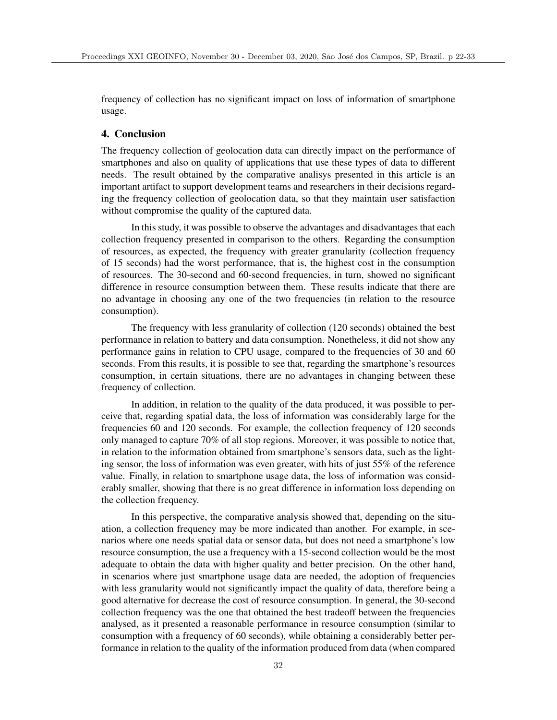frequency of collection has no significant impact on loss of information of smartphone usage.

# 4. Conclusion

The frequency collection of geolocation data can directly impact on the performance of smartphones and also on quality of applications that use these types of data to different needs. The result obtained by the comparative analisys presented in this article is an important artifact to support development teams and researchers in their decisions regarding the frequency collection of geolocation data, so that they maintain user satisfaction without compromise the quality of the captured data.

In this study, it was possible to observe the advantages and disadvantages that each collection frequency presented in comparison to the others. Regarding the consumption of resources, as expected, the frequency with greater granularity (collection frequency of 15 seconds) had the worst performance, that is, the highest cost in the consumption of resources. The 30-second and 60-second frequencies, in turn, showed no significant difference in resource consumption between them. These results indicate that there are no advantage in choosing any one of the two frequencies (in relation to the resource consumption).

The frequency with less granularity of collection (120 seconds) obtained the best performance in relation to battery and data consumption. Nonetheless, it did not show any performance gains in relation to CPU usage, compared to the frequencies of 30 and 60 seconds. From this results, it is possible to see that, regarding the smartphone's resources consumption, in certain situations, there are no advantages in changing between these frequency of collection.

In addition, in relation to the quality of the data produced, it was possible to perceive that, regarding spatial data, the loss of information was considerably large for the frequencies 60 and 120 seconds. For example, the collection frequency of 120 seconds only managed to capture 70% of all stop regions. Moreover, it was possible to notice that, in relation to the information obtained from smartphone's sensors data, such as the lighting sensor, the loss of information was even greater, with hits of just 55% of the reference value. Finally, in relation to smartphone usage data, the loss of information was considerably smaller, showing that there is no great difference in information loss depending on the collection frequency.

In this perspective, the comparative analysis showed that, depending on the situation, a collection frequency may be more indicated than another. For example, in scenarios where one needs spatial data or sensor data, but does not need a smartphone's low resource consumption, the use a frequency with a 15-second collection would be the most adequate to obtain the data with higher quality and better precision. On the other hand, in scenarios where just smartphone usage data are needed, the adoption of frequencies with less granularity would not significantly impact the quality of data, therefore being a good alternative for decrease the cost of resource consumption. In general, the 30-second collection frequency was the one that obtained the best tradeoff between the frequencies analysed, as it presented a reasonable performance in resource consumption (similar to consumption with a frequency of 60 seconds), while obtaining a considerably better performance in relation to the quality of the information produced from data (when compared